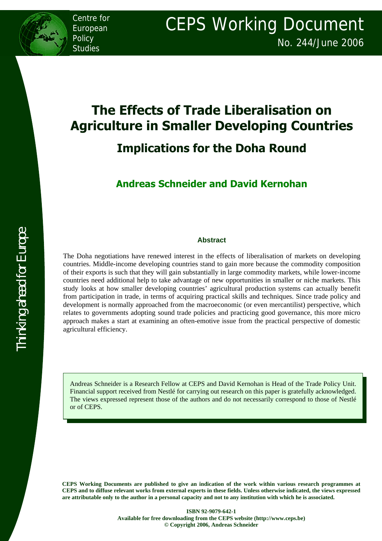Centre for European **Policy** Studies

# **The Effects of Trade Liberalisation on Agriculture in Smaller Developing Countries Implications for the Doha Round**

**Andreas Schneider and David Kernohan** 

#### **Abstract**

The Doha negotiations have renewed interest in the effects of liberalisation of markets on developing countries. Middle-income developing countries stand to gain more because the commodity composition of their exports is such that they will gain substantially in large commodity markets, while lower-income countries need additional help to take advantage of new opportunities in smaller or niche markets. This study looks at how smaller developing countries' agricultural production systems can actually benefit from participation in trade, in terms of acquiring practical skills and techniques. Since trade policy and development is normally approached from the macroeconomic (or even mercantilist) perspective, which relates to governments adopting sound trade policies and practicing good governance, this more micro approach makes a start at examining an often-emotive issue from the practical perspective of domestic agricultural efficiency.

Andreas Schneider is a Research Fellow at CEPS and David Kernohan is Head of the Trade Policy Unit. Financial support received from Nestlé for carrying out research on this paper is gratefully acknowledged. The views expressed represent those of the authors and do not necessarily correspond to those of Nestlé or of CEPS.

**CEPS Working Documents are published to give an indication of the work within various research programmes at CEPS and to diffuse relevant works from external experts in these fields. Unless otherwise indicated, the views expressed are attributable only to the author in a personal capacity and not to any institution with which he is associated.**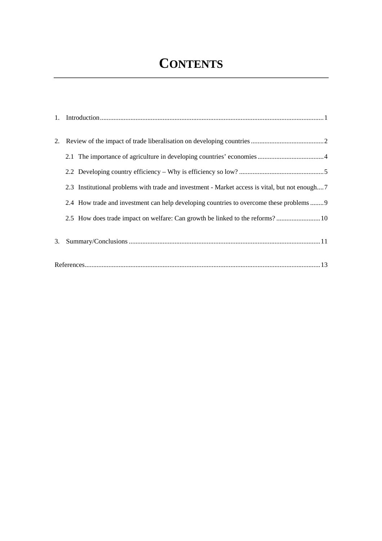# **CONTENTS**

|    | 2.3 Institutional problems with trade and investment - Market access is vital, but not enough7 |  |
|----|------------------------------------------------------------------------------------------------|--|
|    | 2.4 How trade and investment can help developing countries to overcome these problems  9       |  |
|    | 2.5 How does trade impact on welfare: Can growth be linked to the reforms? 10                  |  |
| 3. |                                                                                                |  |
|    |                                                                                                |  |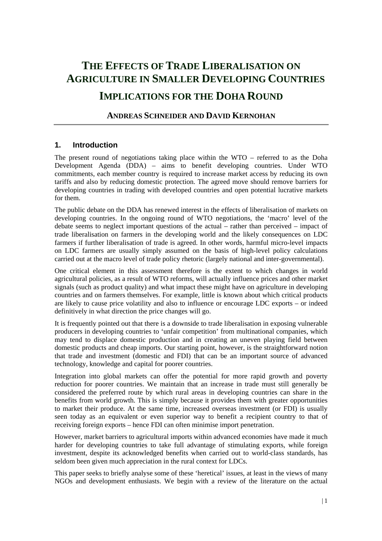# **IMPLICATIONS FOR THE DOHA ROUND**

### **ANDREAS SCHNEIDER AND DAVID KERNOHAN**

### **1. Introduction**

The present round of negotiations taking place within the WTO – referred to as the Doha Development Agenda (DDA) – aims to benefit developing countries. Under WTO commitments, each member country is required to increase market access by reducing its own tariffs and also by reducing domestic protection. The agreed move should remove barriers for developing countries in trading with developed countries and open potential lucrative markets for them.

The public debate on the DDA has renewed interest in the effects of liberalisation of markets on developing countries. In the ongoing round of WTO negotiations, the 'macro' level of the debate seems to neglect important questions of the actual – rather than perceived – impact of trade liberalisation on farmers in the developing world and the likely consequences on LDC farmers if further liberalisation of trade is agreed. In other words, harmful micro-level impacts on LDC farmers are usually simply assumed on the basis of high-level policy calculations carried out at the macro level of trade policy rhetoric (largely national and inter-governmental).

One critical element in this assessment therefore is the extent to which changes in world agricultural policies, as a result of WTO reforms, will actually influence prices and other market signals (such as product quality) and what impact these might have on agriculture in developing countries and on farmers themselves. For example, little is known about which critical products are likely to cause price volatility and also to influence or encourage LDC exports – or indeed definitively in what direction the price changes will go.

It is frequently pointed out that there is a downside to trade liberalisation in exposing vulnerable producers in developing countries to 'unfair competition' from multinational companies, which may tend to displace domestic production and in creating an uneven playing field between domestic products and cheap imports. Our starting point, however, is the straightforward notion that trade and investment (domestic and FDI) that can be an important source of advanced technology, knowledge and capital for poorer countries.

Integration into global markets can offer the potential for more rapid growth and poverty reduction for poorer countries. We maintain that an increase in trade must still generally be considered the preferred route by which rural areas in developing countries can share in the benefits from world growth. This is simply because it provides them with greater opportunities to market their produce. At the same time, increased overseas investment (or FDI) is usually seen today as an equivalent or even superior way to benefit a recipient country to that of receiving foreign exports – hence FDI can often minimise import penetration.

However, market barriers to agricultural imports within advanced economies have made it much harder for developing countries to take full advantage of stimulating exports, while foreign investment, despite its acknowledged benefits when carried out to world-class standards, has seldom been given much appreciation in the rural context for LDCs.

This paper seeks to briefly analyse some of these 'heretical' issues, at least in the views of many NGOs and development enthusiasts. We begin with a review of the literature on the actual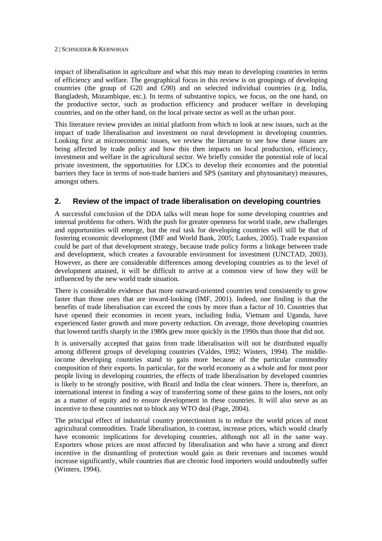impact of liberalisation in agriculture and what this may mean to developing countries in terms of efficiency and welfare. The geographical focus in this review is on groupings of developing countries (the group of G20 and G90) and on selected individual countries (e.g. India, Bangladesh, Mozambique, etc.). In terms of substantive topics, we focus, on the one hand, on the productive sector, such as production efficiency and producer welfare in developing countries, and on the other hand, on the local private sector as well as the urban poor.

This literature review provides an initial platform from which to look at new issues, such as the impact of trade liberalisation and investment on rural development in developing countries. Looking first at microeconomic issues, we review the literature to see how these issues are being affected by trade policy and how this then impacts on local production, efficiency, investment and welfare in the agricultural sector. We briefly consider the potential role of local private investment, the opportunities for LDCs to develop their economies and the potential barriers they face in terms of non-trade barriers and SPS (sanitary and phytosanitary) measures, amongst others.

### **2. Review of the impact of trade liberalisation on developing countries**

A successful conclusion of the DDA talks will mean hope for some developing countries and internal problems for others. With the push for greater openness for world trade, new challenges and opportunities will emerge, but the real task for developing countries will still be that of fostering economic development (IMF and World Bank, 2005; Lankes, 2005). Trade expansion could be part of that development strategy, because trade policy forms a linkage between trade and development, which creates a favourable environment for investment (UNCTAD, 2003). However, as there are considerable differences among developing countries as to the level of development attained, it will be difficult to arrive at a common view of how they will be influenced by the new world trade situation.

There is considerable evidence that more outward-oriented countries tend consistently to grow faster than those ones that are inward-looking (IMF, 2001). Indeed, one finding is that the benefits of trade liberalisation can exceed the costs by more than a factor of 10. Countries that have opened their economies in recent years, including India, Vietnam and Uganda, have experienced faster growth and more poverty reduction. On average, those developing countries that lowered tariffs sharply in the 1980s grew more quickly in the 1990s than those that did not.

It is universally accepted that gains from trade liberalisation will not be distributed equally among different groups of developing countries (Valdes, 1992; Winters, 1994). The middleincome developing countries stand to gain more because of the particular commodity composition of their exports. In particular, for the world economy as a whole and for most poor people living in developing countries, the effects of trade liberalisation by developed countries is likely to be strongly positive, with Brazil and India the clear winners. There is, therefore, an international interest in finding a way of transferring some of these gains to the losers, not only as a matter of equity and to ensure development in these countries. It will also serve as an incentive to these countries not to block any WTO deal (Page, 2004).

The principal effect of industrial country protectionism is to reduce the world prices of most agricultural commodities. Trade liberalisation, in contrast, increase prices, which would clearly have economic implications for developing countries, although not all in the same way. Exporters whose prices are most affected by liberalisation and who have a strong and direct incentive in the dismantling of protection would gain as their revenues and incomes would increase significantly, while countries that are chronic food importers would undoubtedly suffer (Winters, 1994).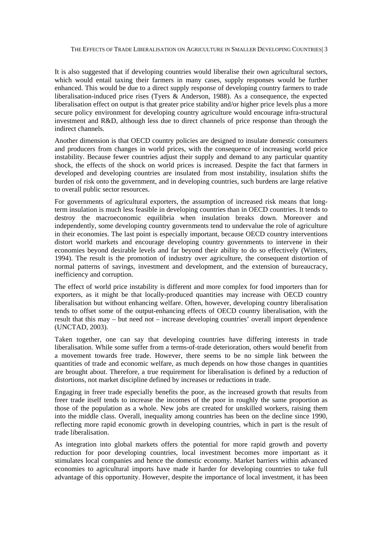It is also suggested that if developing countries would liberalise their own agricultural sectors, which would entail taxing their farmers in many cases, supply responses would be further enhanced. This would be due to a direct supply response of developing country farmers to trade liberalisation-induced price rises (Tyers & Anderson, 1988). As a consequence, the expected liberalisation effect on output is that greater price stability and/or higher price levels plus a more secure policy environment for developing country agriculture would encourage infra-structural investment and R&D, although less due to direct channels of price response than through the indirect channels.

Another dimension is that OECD country policies are designed to insulate domestic consumers and producers from changes in world prices, with the consequence of increasing world price instability. Because fewer countries adjust their supply and demand to any particular quantity shock, the effects of the shock on world prices is increased. Despite the fact that farmers in developed and developing countries are insulated from most instability, insulation shifts the burden of risk onto the government, and in developing countries, such burdens are large relative to overall public sector resources.

For governments of agricultural exporters, the assumption of increased risk means that longterm insulation is much less feasible in developing countries than in OECD countries. It tends to destroy the macroeconomic equilibria when insulation breaks down. Moreover and independently, some developing country governments tend to undervalue the role of agriculture in their economies. The last point is especially important, because OECD country interventions distort world markets and encourage developing country governments to intervene in their economies beyond desirable levels and far beyond their ability to do so effectively (Winters, 1994). The result is the promotion of industry over agriculture, the consequent distortion of normal patterns of savings, investment and development, and the extension of bureaucracy, inefficiency and corruption.

The effect of world price instability is different and more complex for food importers than for exporters, as it might be that locally-produced quantities may increase with OECD country liberalisation but without enhancing welfare. Often, however, developing country liberalisation tends to offset some of the output-enhancing effects of OECD country liberalisation, with the result that this may – but need not – increase developing countries' overall import dependence (UNCTAD, 2003).

Taken together, one can say that developing countries have differing interests in trade liberalisation. While some suffer from a terms-of-trade deterioration, others would benefit from a movement towards free trade. However, there seems to be no simple link between the quantities of trade and economic welfare, as much depends on how those changes in quantities are brought about. Therefore, a true requirement for liberalisation is defined by a reduction of distortions, not market discipline defined by increases or reductions in trade.

Engaging in freer trade especially benefits the poor, as the increased growth that results from freer trade itself tends to increase the incomes of the poor in roughly the same proportion as those of the population as a whole. New jobs are created for unskilled workers, raising them into the middle class. Overall, inequality among countries has been on the decline since 1990, reflecting more rapid economic growth in developing countries, which in part is the result of trade liberalisation.

As integration into global markets offers the potential for more rapid growth and poverty reduction for poor developing countries, local investment becomes more important as it stimulates local companies and hence the domestic economy. Market barriers within advanced economies to agricultural imports have made it harder for developing countries to take full advantage of this opportunity. However, despite the importance of local investment, it has been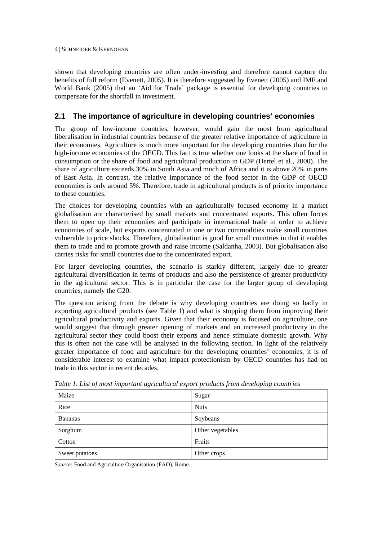shown that developing countries are often under-investing and therefore cannot capture the benefits of full reform (Evenett, 2005). It is therefore suggested by Evenett (2005) and IMF and World Bank (2005) that an 'Aid for Trade' package is essential for developing countries to compensate for the shortfall in investment.

# **2.1 The importance of agriculture in developing countries' economies**

The group of low-income countries, however, would gain the most from agricultural liberalisation in industrial countries because of the greater relative importance of agriculture in their economies. Agriculture is much more important for the developing countries than for the high-income economies of the OECD. This fact is true whether one looks at the share of food in consumption or the share of food and agricultural production in GDP (Hertel et al., 2000). The share of agriculture exceeds 30% in South Asia and much of Africa and it is above 20% in parts of East Asia. In contrast, the relative importance of the food sector in the GDP of OECD economies is only around 5%. Therefore, trade in agricultural products is of priority importance to these countries.

The choices for developing countries with an agriculturally focused economy in a market globalisation are characterised by small markets and concentrated exports. This often forces them to open up their economies and participate in international trade in order to achieve economies of scale, but exports concentrated in one or two commodities make small countries vulnerable to price shocks. Therefore, globalisation is good for small countries in that it enables them to trade and to promote growth and raise income (Saldanha, 2003). But globalisation also carries risks for small countries due to the concentrated export.

For larger developing countries, the scenario is starkly different, largely due to greater agricultural diversification in terms of products and also the persistence of greater productivity in the agricultural sector. This is in particular the case for the larger group of developing countries, namely the G20.

The question arising from the debate is why developing countries are doing so badly in exporting agricultural products (see Table 1) and what is stopping them from improving their agricultural productivity and exports. Given that their economy is focused on agriculture, one would suggest that through greater opening of markets and an increased productivity in the agricultural sector they could boost their exports and hence stimulate domestic growth. Why this is often not the case will be analysed in the following section. In light of the relatively greater importance of food and agriculture for the developing countries' economies, it is of considerable interest to examine what impact protectionism by OECD countries has had on trade in this sector in recent decades.

| Maize          | Sugar            |
|----------------|------------------|
| Rice           | <b>Nuts</b>      |
| Bananas        | Soybeans         |
| Sorghum        | Other vegetables |
| Cotton         | Fruits           |
| Sweet potatoes | Other crops      |

*Table 1. List of most important agricultural export products from developing countries* 

*Source:* Food and Agriculture Organisation (FAO), Rome.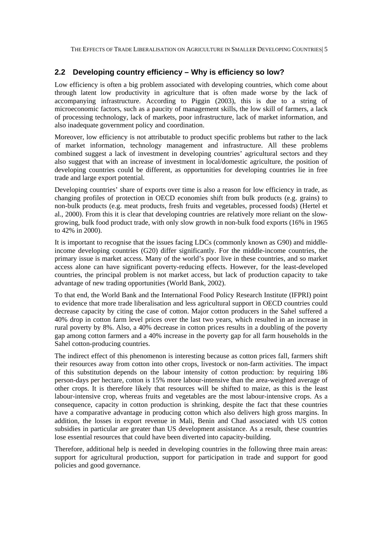## **2.2 Developing country efficiency – Why is efficiency so low?**

Low efficiency is often a big problem associated with developing countries, which come about through latent low productivity in agriculture that is often made worse by the lack of accompanying infrastructure. According to Piggin (2003), this is due to a string of microeconomic factors, such as a paucity of management skills, the low skill of farmers, a lack of processing technology, lack of markets, poor infrastructure, lack of market information, and also inadequate government policy and coordination.

Moreover, low efficiency is not attributable to product specific problems but rather to the lack of market information, technology management and infrastructure. All these problems combined suggest a lack of investment in developing countries' agricultural sectors and they also suggest that with an increase of investment in local/domestic agriculture, the position of developing countries could be different, as opportunities for developing countries lie in free trade and large export potential.

Developing countries' share of exports over time is also a reason for low efficiency in trade, as changing profiles of protection in OECD economies shift from bulk products (e.g. grains) to non-bulk products (e.g. meat products, fresh fruits and vegetables, processed foods) (Hertel et al., 2000). From this it is clear that developing countries are relatively more reliant on the slowgrowing, bulk food product trade, with only slow growth in non-bulk food exports (16% in 1965 to 42% in 2000).

It is important to recognise that the issues facing LDCs (commonly known as G90) and middleincome developing countries (G20) differ significantly. For the middle-income countries, the primary issue is market access. Many of the world's poor live in these countries, and so market access alone can have significant poverty-reducing effects. However, for the least-developed countries, the principal problem is not market access, but lack of production capacity to take advantage of new trading opportunities (World Bank, 2002).

To that end, the World Bank and the International Food Policy Research Institute (IFPRI) point to evidence that more trade liberalisation and less agricultural support in OECD countries could decrease capacity by citing the case of cotton. Major cotton producers in the Sahel suffered a 40% drop in cotton farm level prices over the last two years, which resulted in an increase in rural poverty by 8%. Also, a 40% decrease in cotton prices results in a doubling of the poverty gap among cotton farmers and a 40% increase in the poverty gap for all farm households in the Sahel cotton-producing countries.

The indirect effect of this phenomenon is interesting because as cotton prices fall, farmers shift their resources away from cotton into other crops, livestock or non-farm activities. The impact of this substitution depends on the labour intensity of cotton production: by requiring 186 person-days per hectare, cotton is 15% more labour-intensive than the area-weighted average of other crops. It is therefore likely that resources will be shifted to maize, as this is the least labour-intensive crop, whereas fruits and vegetables are the most labour-intensive crops. As a consequence, capacity in cotton production is shrinking, despite the fact that these countries have a comparative advantage in producing cotton which also delivers high gross margins. In addition, the losses in export revenue in Mali, Benin and Chad associated with US cotton subsidies in particular are greater than US development assistance. As a result, these countries lose essential resources that could have been diverted into capacity-building.

Therefore, additional help is needed in developing countries in the following three main areas: support for agricultural production, support for participation in trade and support for good policies and good governance.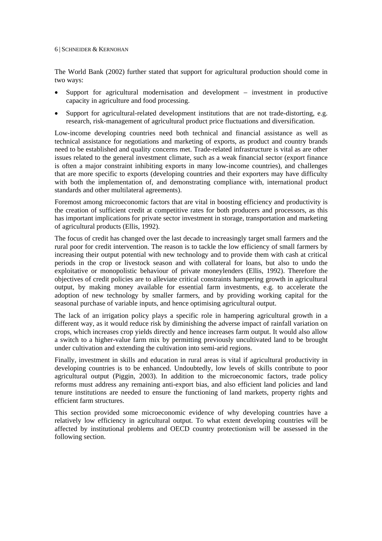The World Bank (2002) further stated that support for agricultural production should come in two ways:

- Support for agricultural modernisation and development investment in productive capacity in agriculture and food processing.
- Support for agricultural-related development institutions that are not trade-distorting, e.g. research, risk-management of agricultural product price fluctuations and diversification.

Low-income developing countries need both technical and financial assistance as well as technical assistance for negotiations and marketing of exports, as product and country brands need to be established and quality concerns met. Trade-related infrastructure is vital as are other issues related to the general investment climate, such as a weak financial sector (export finance is often a major constraint inhibiting exports in many low-income countries), and challenges that are more specific to exports (developing countries and their exporters may have difficulty with both the implementation of, and demonstrating compliance with, international product standards and other multilateral agreements).

Foremost among microeconomic factors that are vital in boosting efficiency and productivity is the creation of sufficient credit at competitive rates for both producers and processors, as this has important implications for private sector investment in storage, transportation and marketing of agricultural products (Ellis, 1992).

The focus of credit has changed over the last decade to increasingly target small farmers and the rural poor for credit intervention. The reason is to tackle the low efficiency of small farmers by increasing their output potential with new technology and to provide them with cash at critical periods in the crop or livestock season and with collateral for loans, but also to undo the exploitative or monopolistic behaviour of private moneylenders (Ellis, 1992). Therefore the objectives of credit policies are to alleviate critical constraints hampering growth in agricultural output, by making money available for essential farm investments, e.g. to accelerate the adoption of new technology by smaller farmers, and by providing working capital for the seasonal purchase of variable inputs, and hence optimising agricultural output.

The lack of an irrigation policy plays a specific role in hampering agricultural growth in a different way, as it would reduce risk by diminishing the adverse impact of rainfall variation on crops, which increases crop yields directly and hence increases farm output. It would also allow a switch to a higher-value farm mix by permitting previously uncultivated land to be brought under cultivation and extending the cultivation into semi-arid regions.

Finally, investment in skills and education in rural areas is vital if agricultural productivity in developing countries is to be enhanced. Undoubtedly, low levels of skills contribute to poor agricultural output (Piggin, 2003). In addition to the microeconomic factors, trade policy reforms must address any remaining anti-export bias, and also efficient land policies and land tenure institutions are needed to ensure the functioning of land markets, property rights and efficient farm structures.

This section provided some microeconomic evidence of why developing countries have a relatively low efficiency in agricultural output. To what extent developing countries will be affected by institutional problems and OECD country protectionism will be assessed in the following section.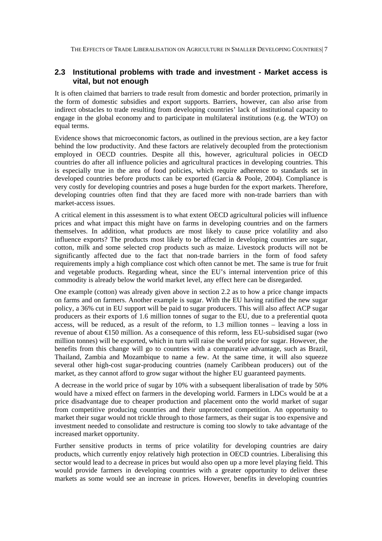# **2.3 Institutional problems with trade and investment - Market access is vital, but not enough**

It is often claimed that barriers to trade result from domestic and border protection, primarily in the form of domestic subsidies and export supports. Barriers, however, can also arise from indirect obstacles to trade resulting from developing countries' lack of institutional capacity to engage in the global economy and to participate in multilateral institutions (e.g. the WTO) on equal terms.

Evidence shows that microeconomic factors, as outlined in the previous section, are a key factor behind the low productivity. And these factors are relatively decoupled from the protectionism employed in OECD countries. Despite all this, however, agricultural policies in OECD countries do after all influence policies and agricultural practices in developing countries. This is especially true in the area of food policies, which require adherence to standards set in developed countries before products can be exported (Garcia & Poole, 2004). Compliance is very costly for developing countries and poses a huge burden for the export markets. Therefore, developing countries often find that they are faced more with non-trade barriers than with market-access issues.

A critical element in this assessment is to what extent OECD agricultural policies will influence prices and what impact this might have on farms in developing countries and on the farmers themselves. In addition, what products are most likely to cause price volatility and also influence exports? The products most likely to be affected in developing countries are sugar, cotton, milk and some selected crop products such as maize. Livestock products will not be significantly affected due to the fact that non-trade barriers in the form of food safety requirements imply a high compliance cost which often cannot be met. The same is true for fruit and vegetable products. Regarding wheat, since the EU's internal intervention price of this commodity is already below the world market level, any effect here can be disregarded.

One example (cotton) was already given above in section 2.2 as to how a price change impacts on farms and on farmers. Another example is sugar. With the EU having ratified the new sugar policy, a 36% cut in EU support will be paid to sugar producers. This will also affect ACP sugar producers as their exports of 1.6 million tonnes of sugar to the EU, due to a preferential quota access, will be reduced, as a result of the reform, to 1.3 million tonnes – leaving a loss in revenue of about €150 million. As a consequence of this reform, less EU-subsidised sugar (two million tonnes) will be exported, which in turn will raise the world price for sugar. However, the benefits from this change will go to countries with a comparative advantage, such as Brazil, Thailand, Zambia and Mozambique to name a few. At the same time, it will also squeeze several other high-cost sugar-producing countries (namely Caribbean producers) out of the market, as they cannot afford to grow sugar without the higher EU guaranteed payments.

A decrease in the world price of sugar by 10% with a subsequent liberalisation of trade by 50% would have a mixed effect on farmers in the developing world. Farmers in LDCs would be at a price disadvantage due to cheaper production and placement onto the world market of sugar from competitive producing countries and their unprotected competition. An opportunity to market their sugar would not trickle through to those farmers, as their sugar is too expensive and investment needed to consolidate and restructure is coming too slowly to take advantage of the increased market opportunity.

Further sensitive products in terms of price volatility for developing countries are dairy products, which currently enjoy relatively high protection in OECD countries. Liberalising this sector would lead to a decrease in prices but would also open up a more level playing field. This would provide farmers in developing countries with a greater opportunity to deliver these markets as some would see an increase in prices. However, benefits in developing countries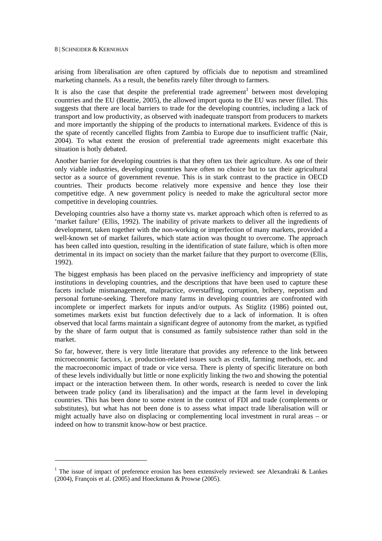arising from liberalisation are often captured by officials due to nepotism and streamlined marketing channels. As a result, the benefits rarely filter through to farmers.

It is also the case that despite the preferential trade agreement<sup>1</sup> between most developing countries and the EU (Beattie, 2005), the allowed import quota to the EU was never filled. This suggests that there are local barriers to trade for the developing countries, including a lack of transport and low productivity, as observed with inadequate transport from producers to markets and more importantly the shipping of the products to international markets. Evidence of this is the spate of recently cancelled flights from Zambia to Europe due to insufficient traffic (Nair, 2004). To what extent the erosion of preferential trade agreements might exacerbate this situation is hotly debated.

Another barrier for developing countries is that they often tax their agriculture. As one of their only viable industries, developing countries have often no choice but to tax their agricultural sector as a source of government revenue. This is in stark contrast to the practice in OECD countries. Their products become relatively more expensive and hence they lose their competitive edge. A new government policy is needed to make the agricultural sector more competitive in developing countries.

Developing countries also have a thorny state vs. market approach which often is referred to as 'market failure' (Ellis, 1992). The inability of private markets to deliver all the ingredients of development, taken together with the non-working or imperfection of many markets, provided a well-known set of market failures, which state action was thought to overcome. The approach has been called into question, resulting in the identification of state failure, which is often more detrimental in its impact on society than the market failure that they purport to overcome (Ellis, 1992).

The biggest emphasis has been placed on the pervasive inefficiency and impropriety of state institutions in developing countries, and the descriptions that have been used to capture these facets include mismanagement, malpractice, overstaffing, corruption, bribery, nepotism and personal fortune-seeking. Therefore many farms in developing countries are confronted with incomplete or imperfect markets for inputs and/or outputs. As Stiglitz (1986) pointed out, sometimes markets exist but function defectively due to a lack of information. It is often observed that local farms maintain a significant degree of autonomy from the market, as typified by the share of farm output that is consumed as family subsistence rather than sold in the market.

So far, however, there is very little literature that provides any reference to the link between microeconomic factors, i.e. production-related issues such as credit, farming methods, etc. and the macroeconomic impact of trade or vice versa. There is plenty of specific literature on both of these levels individually but little or none explicitly linking the two and showing the potential impact or the interaction between them. In other words, research is needed to cover the link between trade policy (and its liberalisation) and the impact at the farm level in developing countries. This has been done to some extent in the context of FDI and trade (complements or substitutes), but what has not been done is to assess what impact trade liberalisation will or might actually have also on displacing or complementing local investment in rural areas – or indeed on how to transmit know-how or best practice.

<sup>&</sup>lt;sup>1</sup> The issue of impact of preference erosion has been extensively reviewed: see Alexandraki & Lankes (2004), François et al. (2005) and Hoeckmann & Prowse (2005).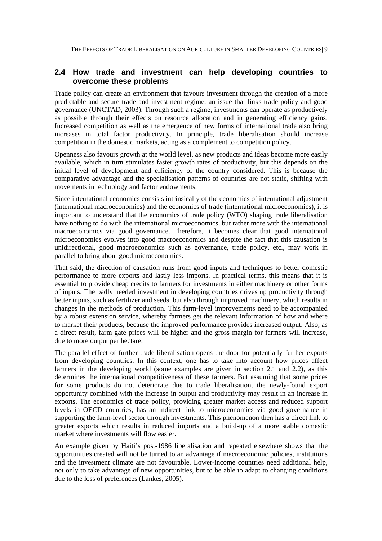### **2.4 How trade and investment can help developing countries to overcome these problems**

Trade policy can create an environment that favours investment through the creation of a more predictable and secure trade and investment regime, an issue that links trade policy and good governance (UNCTAD, 2003). Through such a regime, investments can operate as productively as possible through their effects on resource allocation and in generating efficiency gains. Increased competition as well as the emergence of new forms of international trade also bring increases in total factor productivity. In principle, trade liberalisation should increase competition in the domestic markets, acting as a complement to competition policy.

Openness also favours growth at the world level, as new products and ideas become more easily available, which in turn stimulates faster growth rates of productivity, but this depends on the initial level of development and efficiency of the country considered. This is because the comparative advantage and the specialisation patterns of countries are not static, shifting with movements in technology and factor endowments.

Since international economics consists intrinsically of the economics of international adjustment (international macroeconomics) and the economics of trade (international microeconomics), it is important to understand that the economics of trade policy (WTO) shaping trade liberalisation have nothing to do with the international microeconomics, but rather more with the international macroeconomics via good governance. Therefore, it becomes clear that good international microeconomics evolves into good macroeconomics and despite the fact that this causation is unidirectional, good macroeconomics such as governance, trade policy, etc., may work in parallel to bring about good microeconomics.

That said, the direction of causation runs from good inputs and techniques to better domestic performance to more exports and lastly less imports. In practical terms, this means that it is essential to provide cheap credits to farmers for investments in either machinery or other forms of inputs. The badly needed investment in developing countries drives up productivity through better inputs, such as fertilizer and seeds, but also through improved machinery, which results in changes in the methods of production. This farm-level improvements need to be accompanied by a robust extension service, whereby farmers get the relevant information of how and where to market their products, because the improved performance provides increased output. Also, as a direct result, farm gate prices will be higher and the gross margin for farmers will increase, due to more output per hectare.

The parallel effect of further trade liberalisation opens the door for potentially further exports from developing countries. In this context, one has to take into account how prices affect farmers in the developing world (some examples are given in section 2.1 and 2.2), as this determines the international competitiveness of these farmers. But assuming that some prices for some products do not deteriorate due to trade liberalisation, the newly-found export opportunity combined with the increase in output and productivity may result in an increase in exports. The economics of trade policy, providing greater market access and reduced support levels in OECD countries, has an indirect link to microeconomics via good governance in supporting the farm-level sector through investments. This phenomenon then has a direct link to greater exports which results in reduced imports and a build-up of a more stable domestic market where investments will flow easier.

An example given by Haiti's post-1986 liberalisation and repeated elsewhere shows that the opportunities created will not be turned to an advantage if macroeconomic policies, institutions and the investment climate are not favourable. Lower-income countries need additional help, not only to take advantage of new opportunities, but to be able to adapt to changing conditions due to the loss of preferences (Lankes, 2005).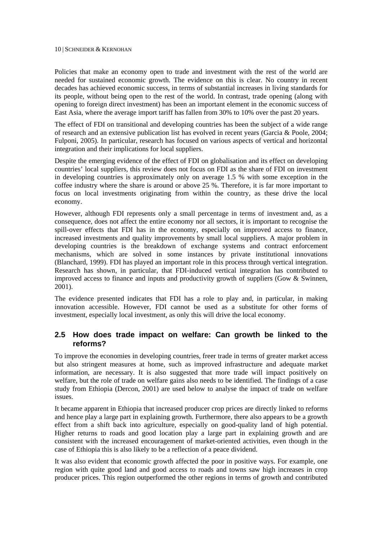Policies that make an economy open to trade and investment with the rest of the world are needed for sustained economic growth. The evidence on this is clear. No country in recent decades has achieved economic success, in terms of substantial increases in living standards for its people, without being open to the rest of the world. In contrast, trade opening (along with opening to foreign direct investment) has been an important element in the economic success of East Asia, where the average import tariff has fallen from 30% to 10% over the past 20 years.

The effect of FDI on transitional and developing countries has been the subject of a wide range of research and an extensive publication list has evolved in recent years (Garcia & Poole, 2004; Fulponi, 2005). In particular, research has focused on various aspects of vertical and horizontal integration and their implications for local suppliers.

Despite the emerging evidence of the effect of FDI on globalisation and its effect on developing countries' local suppliers, this review does not focus on FDI as the share of FDI on investment in developing countries is approximately only on average 1.5 % with some exception in the coffee industry where the share is around or above 25 %. Therefore, it is far more important to focus on local investments originating from within the country, as these drive the local economy.

However, although FDI represents only a small percentage in terms of investment and, as a consequence, does not affect the entire economy nor all sectors, it is important to recognise the spill-over effects that FDI has in the economy, especially on improved access to finance, increased investments and quality improvements by small local suppliers. A major problem in developing countries is the breakdown of exchange systems and contract enforcement mechanisms, which are solved in some instances by private institutional innovations (Blanchard, 1999). FDI has played an important role in this process through vertical integration. Research has shown, in particular, that FDI-induced vertical integration has contributed to improved access to finance and inputs and productivity growth of suppliers (Gow & Swinnen, 2001).

The evidence presented indicates that FDI has a role to play and, in particular, in making innovation accessible. However, FDI cannot be used as a substitute for other forms of investment, especially local investment, as only this will drive the local economy.

### **2.5 How does trade impact on welfare: Can growth be linked to the reforms?**

To improve the economies in developing countries, freer trade in terms of greater market access but also stringent measures at home, such as improved infrastructure and adequate market information, are necessary. It is also suggested that more trade will impact positively on welfare, but the role of trade on welfare gains also needs to be identified. The findings of a case study from Ethiopia (Dercon, 2001) are used below to analyse the impact of trade on welfare issues.

It became apparent in Ethiopia that increased producer crop prices are directly linked to reforms and hence play a large part in explaining growth. Furthermore, there also appears to be a growth effect from a shift back into agriculture, especially on good-quality land of high potential. Higher returns to roads and good location play a large part in explaining growth and are consistent with the increased encouragement of market-oriented activities, even though in the case of Ethiopia this is also likely to be a reflection of a peace dividend.

It was also evident that economic growth affected the poor in positive ways. For example, one region with quite good land and good access to roads and towns saw high increases in crop producer prices. This region outperformed the other regions in terms of growth and contributed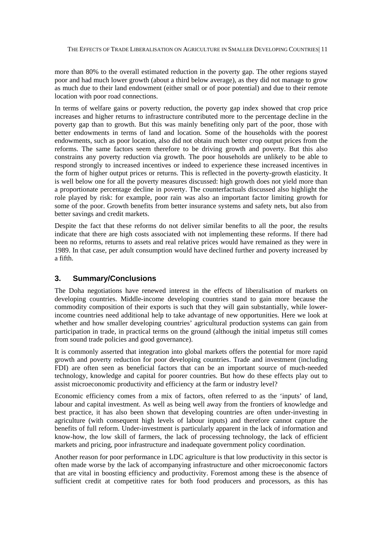more than 80% to the overall estimated reduction in the poverty gap. The other regions stayed poor and had much lower growth (about a third below average), as they did not manage to grow as much due to their land endowment (either small or of poor potential) and due to their remote location with poor road connections.

In terms of welfare gains or poverty reduction, the poverty gap index showed that crop price increases and higher returns to infrastructure contributed more to the percentage decline in the poverty gap than to growth. But this was mainly benefiting only part of the poor, those with better endowments in terms of land and location. Some of the households with the poorest endowments, such as poor location, also did not obtain much better crop output prices from the reforms. The same factors seem therefore to be driving growth and poverty. But this also constrains any poverty reduction via growth. The poor households are unlikely to be able to respond strongly to increased incentives or indeed to experience these increased incentives in the form of higher output prices or returns. This is reflected in the poverty-growth elasticity. It is well below one for all the poverty measures discussed: high growth does not yield more than a proportionate percentage decline in poverty. The counterfactuals discussed also highlight the role played by risk: for example, poor rain was also an important factor limiting growth for some of the poor. Growth benefits from better insurance systems and safety nets, but also from better savings and credit markets.

Despite the fact that these reforms do not deliver similar benefits to all the poor, the results indicate that there are high costs associated with not implementing these reforms. If there had been no reforms, returns to assets and real relative prices would have remained as they were in 1989. In that case, per adult consumption would have declined further and poverty increased by a fifth.

# **3. Summary/Conclusions**

The Doha negotiations have renewed interest in the effects of liberalisation of markets on developing countries. Middle-income developing countries stand to gain more because the commodity composition of their exports is such that they will gain substantially, while lowerincome countries need additional help to take advantage of new opportunities. Here we look at whether and how smaller developing countries' agricultural production systems can gain from participation in trade, in practical terms on the ground (although the initial impetus still comes from sound trade policies and good governance).

It is commonly asserted that integration into global markets offers the potential for more rapid growth and poverty reduction for poor developing countries. Trade and investment (including FDI) are often seen as beneficial factors that can be an important source of much-needed technology, knowledge and capital for poorer countries. But how do these effects play out to assist microeconomic productivity and efficiency at the farm or industry level?

Economic efficiency comes from a mix of factors, often referred to as the 'inputs' of land, labour and capital investment. As well as being well away from the frontiers of knowledge and best practice, it has also been shown that developing countries are often under-investing in agriculture (with consequent high levels of labour inputs) and therefore cannot capture the benefits of full reform. Under-investment is particularly apparent in the lack of information and know-how, the low skill of farmers, the lack of processing technology, the lack of efficient markets and pricing, poor infrastructure and inadequate government policy coordination.

Another reason for poor performance in LDC agriculture is that low productivity in this sector is often made worse by the lack of accompanying infrastructure and other microeconomic factors that are vital in boosting efficiency and productivity. Foremost among these is the absence of sufficient credit at competitive rates for both food producers and processors, as this has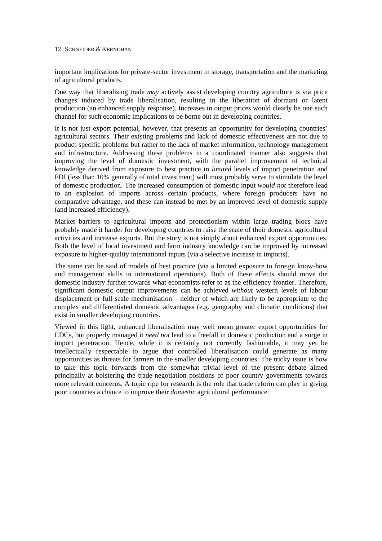important implications for private-sector investment in storage, transportation and the marketing of agricultural products.

One way that liberalising trade *may* actively assist developing country agriculture is via price changes induced by trade liberalisation, resulting in the liberation of dormant or latent production (an enhanced supply response). Increases in output prices would clearly be one such channel for such economic implications to be borne out in developing countries.

It is not just export potential, however, that presents an opportunity for developing countries' agricultural sectors. Their existing problems and lack of domestic effectiveness are not due to product-specific problems but rather to the lack of market information, technology management and infrastructure. Addressing these problems in a coordinated manner also suggests that improving the level of domestic investment, with the parallel improvement of technical knowledge derived from exposure to best practice in *limited* levels of import penetration and FDI (less than 10% generally of total investment) will most probably serve to stimulate the level of domestic production. The increased consumption of domestic input *would not* therefore lead to an explosion of imports across certain products, where foreign producers have no comparative advantage, and these can instead be met by an improved level of domestic supply (and increased efficiency).

Market barriers to agricultural imports and protectionism within large trading blocs have probably made it harder for developing countries to raise the scale of their domestic agricultural activities and increase exports. But the story is not simply about enhanced export opportunities. Both the level of local investment and farm industry knowledge can be improved by increased exposure to higher-quality international inputs (via a selective increase in imports).

The same can be said of models of best practice (via a limited exposure to foreign know-how and management skills in international operations). Both of these effects should move the domestic industry further towards what economists refer to as the efficiency frontier. Therefore, significant domestic output improvements can be achieved *without* western levels of labour displacement or full-scale mechanisation – neither of which are likely to be appropriate to the complex and differentiated domestic advantages (e.g. geography and climatic conditions) that exist in smaller developing countries.

Viewed in this light, enhanced liberalisation may well mean greater export opportunities for LDCs, but properly managed it *need not* lead to a freefall in domestic production and a surge in import penetration. Hence, while it is certainly not currently fashionable, it may yet be intellectually respectable to argue that controlled liberalisation could generate as many opportunities as threats for farmers in the smaller developing countries. The tricky issue is how to take this topic forwards from the somewhat trivial level of the present debate aimed principally at bolstering the trade-negotiation positions of poor country governments towards more relevant concerns. A topic ripe for research is the role that trade reform can play in giving poor countries a chance to improve their *domestic* agricultural performance.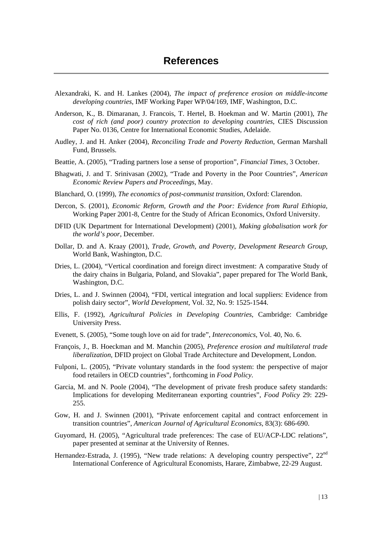- Alexandraki, K. and H. Lankes (2004), *The impact of preference erosion on middle-income developing countries*, IMF Working Paper WP/04/169, IMF, Washington, D.C.
- Anderson, K., B. Dimaranan, J. Francois, T. Hertel, B. Hoekman and W. Martin (2001), *The cost of rich (and poor) country protection to developing countries*, CIES Discussion Paper No. 0136, Centre for International Economic Studies, Adelaide.
- Audley, J. and H. Anker (2004), *Reconciling Trade and Poverty Reduction*, German Marshall Fund, Brussels.
- Beattie, A. (2005), "Trading partners lose a sense of proportion", *Financial Times*, 3 October.
- Bhagwati, J. and T. Srinivasan (2002), "Trade and Poverty in the Poor Countries", *American Economic Review Papers and Proceedings*, May.
- Blanchard, O. (1999), *The economics of post-communist transition*, Oxford: Clarendon.
- Dercon, S. (2001), *Economic Reform, Growth and the Poor: Evidence from Rural Ethiopia*, Working Paper 2001-8, Centre for the Study of African Economics, Oxford University.
- DFID (UK Department for International Development) (2001), *Making globalisation work for the world's poor*, December.
- Dollar, D. and A. Kraay (2001), *Trade, Growth, and Poverty, Development Research Group*, World Bank, Washington, D.C.
- Dries, L. (2004), "Vertical coordination and foreign direct investment: A comparative Study of the dairy chains in Bulgaria, Poland, and Slovakia", paper prepared for The World Bank, Washington, D.C.
- Dries, L. and J. Swinnen (2004), "FDI, vertical integration and local suppliers: Evidence from polish dairy sector", *World Development*, Vol. 32, No. 9: 1525-1544.
- Ellis, F. (1992), *Agricultural Policies in Developing Countries*, Cambridge: Cambridge University Press.
- Evenett, S. (2005), "Some tough love on aid for trade", *Intereconomics*, Vol. 40, No. 6.
- François, J., B. Hoeckman and M. Manchin (2005), *Preference erosion and multilateral trade liberalization*, DFID project on Global Trade Architecture and Development, London.
- Fulponi, L. (2005), "Private voluntary standards in the food system: the perspective of major food retailers in OECD countries", forthcoming in *Food Policy*.
- Garcia, M. and N. Poole (2004), "The development of private fresh produce safety standards: Implications for developing Mediterranean exporting countries", *Food Policy* 29: 229- 255.
- Gow, H. and J. Swinnen (2001), "Private enforcement capital and contract enforcement in transition countries", *American Journal of Agricultural Economics*, 83(3): 686-690.
- Guyomard, H. (2005), "Agricultural trade preferences: The case of EU/ACP-LDC relations", paper presented at seminar at the University of Rennes.
- Hernandez-Estrada, J. (1995), "New trade relations: A developing country perspective", 22<sup>nd</sup> International Conference of Agricultural Economists, Harare, Zimbabwe, 22-29 August.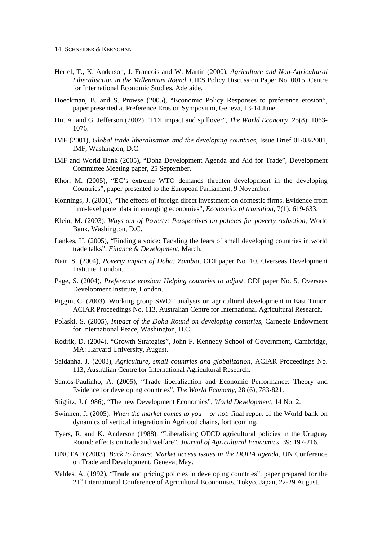- Hertel, T., K. Anderson, J. Francois and W. Martin (2000), *Agriculture and Non-Agricultural Liberalisation in the Millennium Round*, CIES Policy Discussion Paper No. 0015, Centre for International Economic Studies, Adelaide.
- Hoeckman, B. and S. Prowse (2005), "Economic Policy Responses to preference erosion", paper presented at Preference Erosion Symposium, Geneva, 13-14 June.
- Hu. A. and G. Jefferson (2002), "FDI impact and spillover", *The World Economy*, 25(8): 1063- 1076.
- IMF (2001), *Global trade liberalisation and the developing countries*, Issue Brief 01/08/2001, IMF, Washington, D.C.
- IMF and World Bank (2005), "Doha Development Agenda and Aid for Trade", Development Committee Meeting paper, 25 September.
- Khor, M. (2005), "EC's extreme WTO demands threaten development in the developing Countries", paper presented to the European Parliament, 9 November.
- Konnings, J. (2001), "The effects of foreign direct investment on domestic firms. Evidence from firm-level panel data in emerging economies", *Economics of transition*, 7(1): 619-633.
- Klein, M. (2003), *Ways out of Poverty: Perspectives on policies for poverty reduction*, World Bank, Washington, D.C.
- Lankes, H. (2005), "Finding a voice: Tackling the fears of small developing countries in world trade talks", *Finance & Development*, March.
- Nair, S. (2004), *Poverty impact of Doha: Zambia*, ODI paper No. 10, Overseas Development Institute, London.
- Page, S. (2004), *Preference erosion: Helping countries to adjust*, ODI paper No. 5, Overseas Development Institute, London.
- Piggin, C. (2003), Working group SWOT analysis on agricultural development in East Timor, ACIAR Proceedings No. 113, Australian Centre for International Agricultural Research.
- Polaski, S. (2005), *Impact of the Doha Round on developing countries*, Carnegie Endowment for International Peace, Washington, D.C.
- Rodrik, D. (2004), "Growth Strategies", John F. Kennedy School of Government, Cambridge, MA: Harvard University, August.
- Saldanha, J. (2003), *Agriculture, small countries and globalization*, ACIAR Proceedings No. 113, Australian Centre for International Agricultural Research.
- Santos-Paulinho, A. (2005), "Trade liberalization and Economic Performance: Theory and Evidence for developing countries", *The World Economy*, 28 (6), 783-821.
- Stiglitz, J. (1986), "The new Development Economics", *World Development*, 14 No. 2.
- Swinnen, J. (2005), *When the market comes to you or not*, final report of the World bank on dynamics of vertical integration in Agrifood chains, forthcoming.
- Tyers, R. and K. Anderson (1988), "Liberalising OECD agricultural policies in the Uruguay Round: effects on trade and welfare", *Journal of Agricultural Economics*, 39: 197-216.
- UNCTAD (2003), *Back to basics: Market access issues in the DOHA agenda*, UN Conference on Trade and Development, Geneva, May.
- Valdes, A. (1992), "Trade and pricing policies in developing countries", paper prepared for the 21<sup>st</sup> International Conference of Agricultural Economists, Tokyo, Japan, 22-29 August.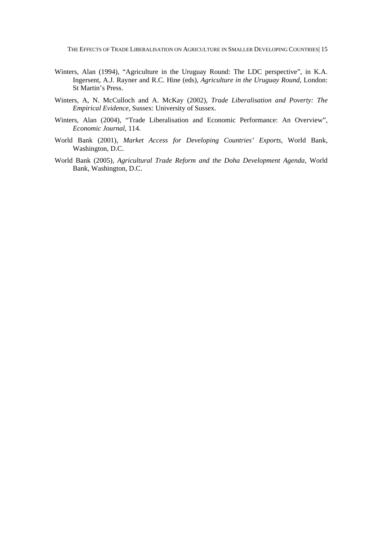- Winters, Alan (1994), "Agriculture in the Uruguay Round: The LDC perspective", in K.A. Ingersent, A.J. Rayner and R.C. Hine (eds), *Agriculture in the Uruguay Round*, London: St Martin's Press.
- Winters, A, N. McCulloch and A. McKay (2002), *Trade Liberalisation and Poverty: The Empirical Evidence*, Sussex: University of Sussex.
- Winters, Alan (2004), "Trade Liberalisation and Economic Performance: An Overview", *Economic Journal*, 114.
- World Bank (2001), *Market Access for Developing Countries' Exports*, World Bank, Washington, D.C.
- World Bank (2005), *Agricultural Trade Reform and the Doha Development Agenda*, World Bank, Washington, D.C.